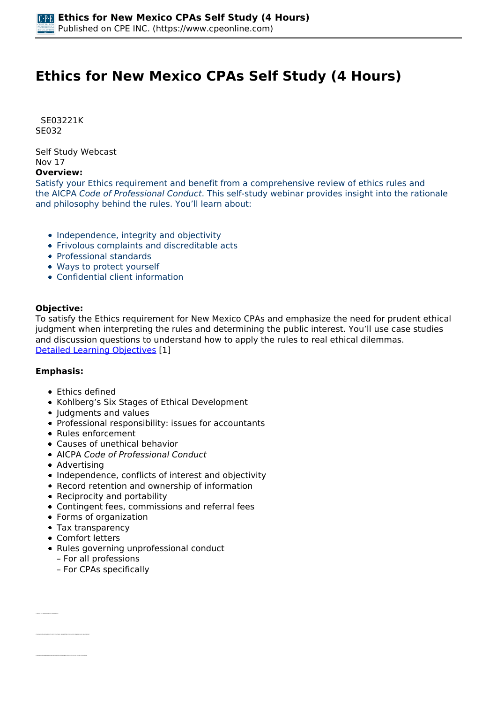# **Ethics for New Mexico CPAs Self Study (4 Hours)**

 *SE03221K SE032* 

*Self Study Webcast Nov 17* 

### **Overview:**

*Satisfy your Ethics requirement and benefit from a comprehensive review of ethics rules and the AICPA Code of Professional Conduct. This self-study webinar provides insight into the rationale and philosophy behind the rules. You'll learn about:*

- *Independence, integrity and objectivity*
- *Frivolous complaints and discreditable acts*
- *Professional standards*
- *Ways to protect yourself*
- *Confidential client information*

#### **Objective:**

*To satisfy the Ethics requirement for New Mexico CPAs and emphasize the need for prudent ethical judgment when interpreting the rules and determining the public interest. You'll use case studies and discussion questions to understand how to apply the rules to real ethical dilemmas. [Detailed Learning Objectives](https://www.cpeonline.com/JavaScript:showObjectivesPopup();) [1]*

#### **Emphasis:**

- *Ethics defined*
- *Kohlberg's Six Stages of Ethical Development*
- *Judgments and values*
- *Professional responsibility: issues for accountants*
- *Rules enforcement*
- *Causes of unethical behavior*
- *AICPA Code of Professional Conduct*
- *Advertising*
- *Independence, conflicts of interest and objectivity*
- *Record retention and ownership of information*
- *Reciprocity and portability*
- *Contingent fees, commissions and referral fees*
- *Forms of organization*
- *Tax transparency*
- *Comfort letters*

*• Identify the different ways to define ethics*

- *Rules governing unprofessional conduct*
	- *For all professions*
	- *For CPAs specifically*